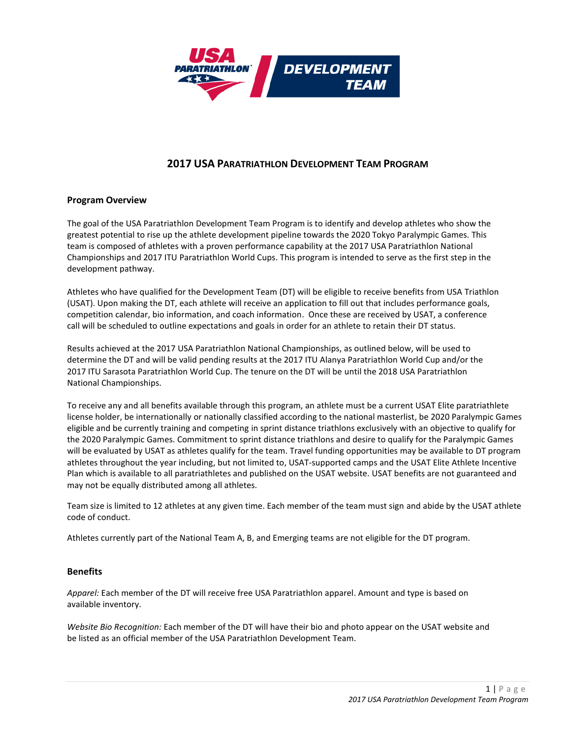

# **2017 USA PARATRIATHLON DEVELOPMENT TEAM PROGRAM**

# **Program Overview**

The goal of the USA Paratriathlon Development Team Program is to identify and develop athletes who show the greatest potential to rise up the athlete development pipeline towards the 2020 Tokyo Paralympic Games. This team is composed of athletes with a proven performance capability at the 2017 USA Paratriathlon National Championships and 2017 ITU Paratriathlon World Cups. This program is intended to serve as the first step in the development pathway.

Athletes who have qualified for the Development Team (DT) will be eligible to receive benefits from USA Triathlon (USAT). Upon making the DT, each athlete will receive an application to fill out that includes performance goals, competition calendar, bio information, and coach information. Once these are received by USAT, a conference call will be scheduled to outline expectations and goals in order for an athlete to retain their DT status.

Results achieved at the 2017 USA Paratriathlon National Championships, as outlined below, will be used to determine the DT and will be valid pending results at the 2017 ITU Alanya Paratriathlon World Cup and/or the 2017 ITU Sarasota Paratriathlon World Cup. The tenure on the DT will be until the 2018 USA Paratriathlon National Championships.

To receive any and all benefits available through this program, an athlete must be a current USAT Elite paratriathlete license holder, be internationally or nationally classified according to the national masterlist, be 2020 Paralympic Games eligible and be currently training and competing in sprint distance triathlons exclusively with an objective to qualify for the 2020 Paralympic Games. Commitment to sprint distance triathlons and desire to qualify for the Paralympic Games will be evaluated by USAT as athletes qualify for the team. Travel funding opportunities may be available to DT program athletes throughout the year including, but not limited to, USAT-supported camps and the USAT Elite Athlete Incentive Plan which is available to all paratriathletes and published on the USAT website. USAT benefits are not guaranteed and may not be equally distributed among all athletes.

Team size is limited to 12 athletes at any given time. Each member of the team must sign and abide by the USAT athlete code of conduct.

Athletes currently part of the National Team A, B, and Emerging teams are not eligible for the DT program.

### **Benefits**

*Apparel:* Each member of the DT will receive free USA Paratriathlon apparel. Amount and type is based on available inventory.

*Website Bio Recognition:* Each member of the DT will have their bio and photo appear on the USAT website and be listed as an official member of the USA Paratriathlon Development Team.